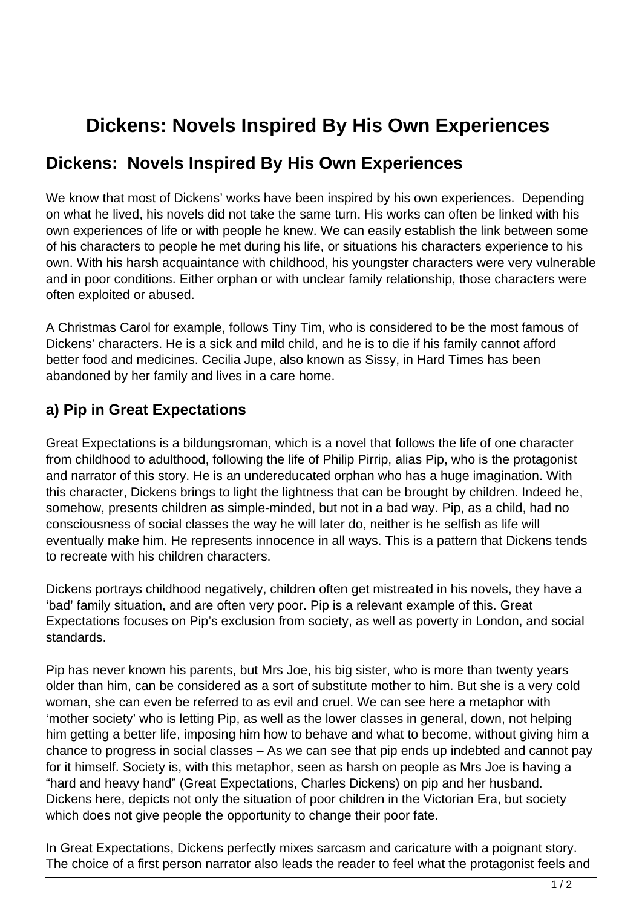## **Dickens: Novels Inspired By His Own Experiences**

## **Dickens: Novels Inspired By His Own Experiences**

We know that most of Dickens' works have been inspired by his own experiences. Depending on what he lived, his novels did not take the same turn. His works can often be linked with his own experiences of life or with people he knew. We can easily establish the link between some of his characters to people he met during his life, or situations his characters experience to his own. With his harsh acquaintance with childhood, his youngster characters were very vulnerable and in poor conditions. Either orphan or with unclear family relationship, those characters were often exploited or abused.

A Christmas Carol for example, follows Tiny Tim, who is considered to be the most famous of Dickens' characters. He is a sick and mild child, and he is to die if his family cannot afford better food and medicines. Cecilia Jupe, also known as Sissy, in Hard Times has been abandoned by her family and lives in a care home.

## **a) Pip in Great Expectations**

Great Expectations is a bildungsroman, which is a novel that follows the life of one character from childhood to adulthood, following the life of Philip Pirrip, alias Pip, who is the protagonist and narrator of this story. He is an undereducated orphan who has a huge imagination. With this character, Dickens brings to light the lightness that can be brought by children. Indeed he, somehow, presents children as simple-minded, but not in a bad way. Pip, as a child, had no consciousness of social classes the way he will later do, neither is he selfish as life will eventually make him. He represents innocence in all ways. This is a pattern that Dickens tends to recreate with his children characters.

Dickens portrays childhood negatively, children often get mistreated in his novels, they have a 'bad' family situation, and are often very poor. Pip is a relevant example of this. Great Expectations focuses on Pip's exclusion from society, as well as poverty in London, and social standards.

Pip has never known his parents, but Mrs Joe, his big sister, who is more than twenty years older than him, can be considered as a sort of substitute mother to him. But she is a very cold woman, she can even be referred to as evil and cruel. We can see here a metaphor with 'mother society' who is letting Pip, as well as the lower classes in general, down, not helping him getting a better life, imposing him how to behave and what to become, without giving him a chance to progress in social classes – As we can see that pip ends up indebted and cannot pay for it himself. Society is, with this metaphor, seen as harsh on people as Mrs Joe is having a "hard and heavy hand" (Great Expectations, Charles Dickens) on pip and her husband. Dickens here, depicts not only the situation of poor children in the Victorian Era, but society which does not give people the opportunity to change their poor fate.

In Great Expectations, Dickens perfectly mixes sarcasm and caricature with a poignant story. The choice of a first person narrator also leads the reader to feel what the protagonist feels and